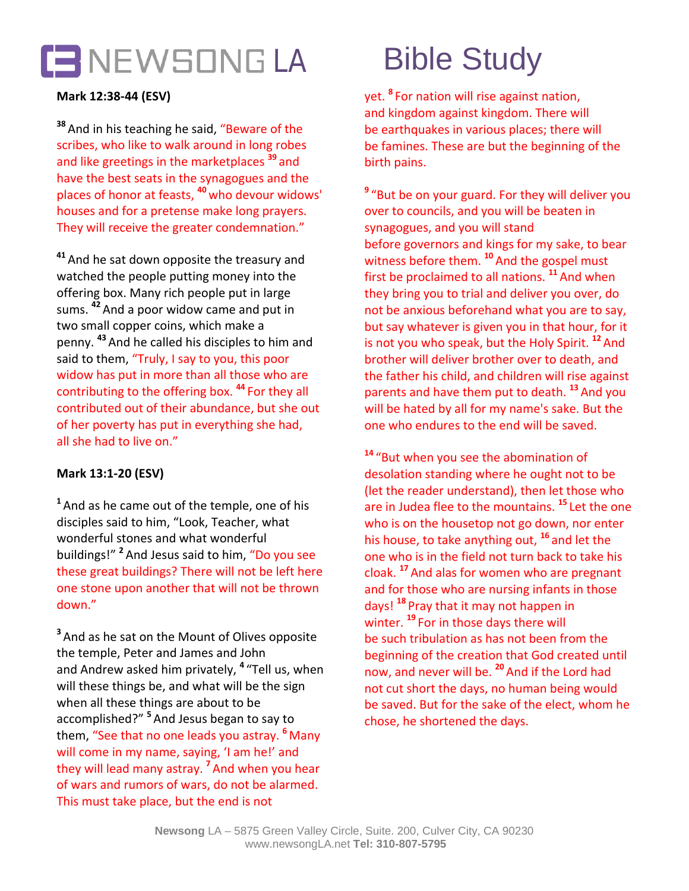

# **Mark 12:38-44 (ESV)**

**<sup>38</sup>** And in his teaching he said, "Beware of the scribes, who like to walk around in long robes and like greetings in the marketplaces **<sup>39</sup>** and have the best seats in the synagogues and the places of honor at feasts, **<sup>40</sup>** who devour widows' houses and for a pretense make long prayers. They will receive the greater condemnation."

**<sup>41</sup>** And he sat down opposite the treasury and watched the people putting money into the offering box. Many rich people put in large sums. **<sup>42</sup>** And a poor widow came and put in two small copper coins, which make a penny. **<sup>43</sup>** And he called his disciples to him and said to them, "Truly, I say to you, this poor widow has put in more than all those who are contributing to the offering box. **<sup>44</sup>** For they all contributed out of their abundance, but she out of her poverty has put in everything she had, all she had to live on."

### **Mark 13:1-20 (ESV)**

**<sup>1</sup>** And as he came out of the temple, one of his disciples said to him, "Look, Teacher, what wonderful stones and what wonderful buildings!" **<sup>2</sup>** And Jesus said to him, "Do you see these great buildings? There will not be left here one stone upon another that will not be thrown down."

**<sup>3</sup>** And as he sat on the Mount of Olives opposite the temple, Peter and James and John and Andrew asked him privately, **<sup>4</sup>** "Tell us, when will these things be, and what will be the sign when all these things are about to be accomplished?" **<sup>5</sup>** And Jesus began to say to them, "See that no one leads you astray. **<sup>6</sup>** Many will come in my name, saying, 'I am he!' and they will lead many astray. **<sup>7</sup>** And when you hear of wars and rumors of wars, do not be alarmed. This must take place, but the end is not

yet. **<sup>8</sup>** For nation will rise against nation, and kingdom against kingdom. There will be earthquakes in various places; there will be famines. These are but the beginning of the birth pains.

**<sup>9</sup>** "But be on your guard. For they will deliver you over to councils, and you will be beaten in synagogues, and you will stand before governors and kings for my sake, to bear witness before them. **<sup>10</sup>** And the gospel must first be proclaimed to all nations. **<sup>11</sup>** And when they bring you to trial and deliver you over, do not be anxious beforehand what you are to say, but say whatever is given you in that hour, for it is not you who speak, but the Holy Spirit. **<sup>12</sup>** And brother will deliver brother over to death, and the father his child, and children will rise against parents and have them put to death. **<sup>13</sup>** And you will be hated by all for my name's sake. But the one who endures to the end will be saved.

**<sup>14</sup>** "But when you see the abomination of desolation standing where he ought not to be (let the reader understand), then let those who are in Judea flee to the mountains. **<sup>15</sup>** Let the one who is on the housetop not go down, nor enter his house, to take anything out, **<sup>16</sup>** and let the one who is in the field not turn back to take his cloak. **<sup>17</sup>** And alas for women who are pregnant and for those who are nursing infants in those days! **<sup>18</sup>** Pray that it may not happen in winter. **<sup>19</sup>** For in those days there will be such tribulation as has not been from the beginning of the creation that God created until now, and never will be. **<sup>20</sup>** And if the Lord had not cut short the days, no human being would be saved. But for the sake of the elect, whom he chose, he shortened the days.